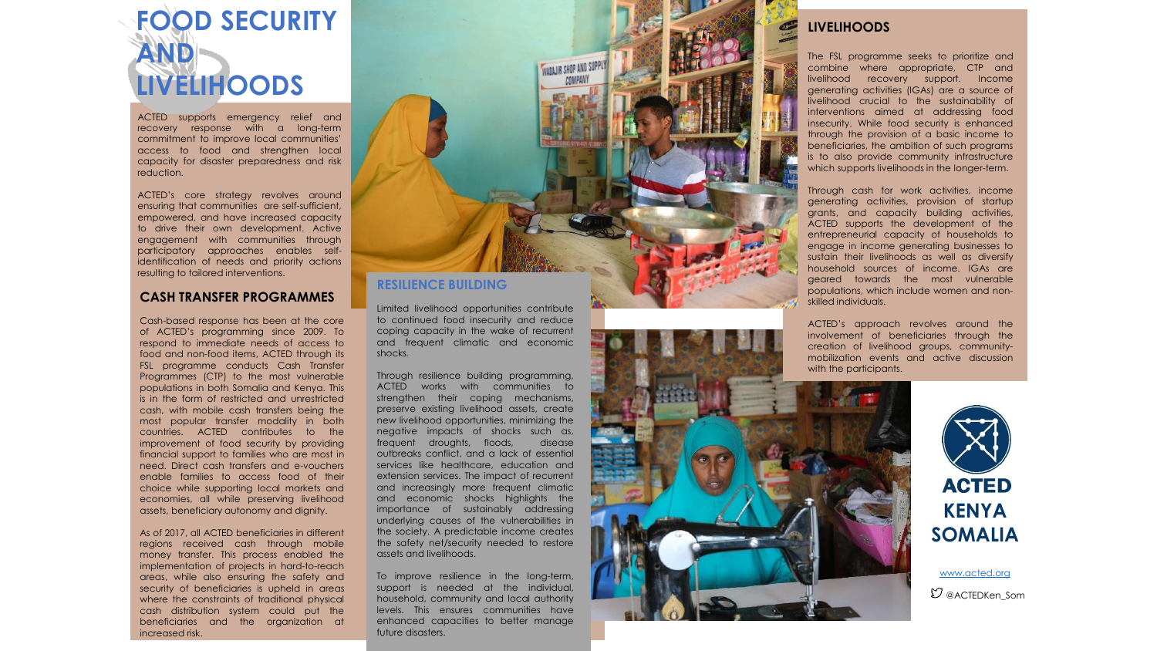

ACTED supports emergency relief and recovery response with a long-term commitment to improve local communities' access to food and strengthen local capacity for disaster preparedness and risk reduction .

ACTED's core strategy revolves around ensuring that communities are self -sufficient, empowered, and have increased capacity to drive their own development . Active engagement with communities through participatory approaches enables self identification of needs and priority actions resulting to tailored interventions .

#### **CASH TRANSFER PROGRAMMES**

Cash -based response has been at the core of ACTED's programming since 2009 . To respond to immediate needs of access to food and non -food items, ACTED through its FSL programme conducts Cash Transfer Programmes (CTP) to the most vulnerable populations in both Somalia and Kenya . This is in the form of restricted and unrestricted cash, with mobile cash transfers being the most popular transfer modality in both countries . ACTED contributes to the improvement of food security by providing financial support to families who are most in need . Direct cash transfers and e -vouchers enable families to access food of their choice while supporting local markets and economies, all while preserving livelihood assets, beneficiary autonomy and dignity .

As of 2017 , all ACTED beneficiaries in different regions received cash through mobile money transfer . This process enabled the implementation of projects in hard -to -reach areas, while also ensuring the safety and security of beneficiaries is upheld in areas where the constraints of traditional physical cash distribution system could put the beneficiaries and the organization at increased risk .



### **RESILIENCE BUILDING**

Limited livelihood opportunities contribute to continued food insecurity and reduce coping capacity in the wake of recurrent and frequent climatic and economic shocks .

Through resilience building programming, ACTED works with communities to strengthen their coping mechanisms, preserve existing livelihood assets, create new livelihood opportunities, minimizing the negative impacts of shocks such as, frequent droughts, floods, disease outbreaks conflict, and a lack of essential services like healthcare, education and extension services . The impact of recurrent and increasingly more frequent climatic and economic shocks highlights the importance of sustainably addressing underlying causes of the vulnerabilities in the society . A predictable income creates the safety net/security needed to restore assets and livelihoods .

To improve resilience in the long-term, support is needed at the individual, household, community and local authority levels . This ensures communities have enhanced capacities to better manage future disasters .

### **LIVELIHOODS**

The FSL programme seeks to prioritize and combine where appropriate, CTP and livelihood recovery support . Income generating activities (IGAs) are a source of livelihood crucial to the sustainability of interventions aimed at addressing food insecurity . While food security is enhanced through the provision of a basic income to beneficiaries, the ambition of such programs is to also provide community infrastructure which supports livelihoods in the longer-term.

Through cash for work activities, income generating activities, provision of startup grants, and capacity building activities, ACTED supports the development of the entrepreneurial capacity of households to engage in income generating businesses to sustain their livelihoods as well as diversify household sources of income . IGAs are geared towards the most vulnerable populations, which include women and non skilled individuals .

ACTED's approach revolves around the involvement of beneficiaries through the creation of livelihood groups, community mobilization events and active discussion with the participants .





[www.acted.org](http://www.acted.org/)

 $\mathfrak O$  @ACTEDKen Som